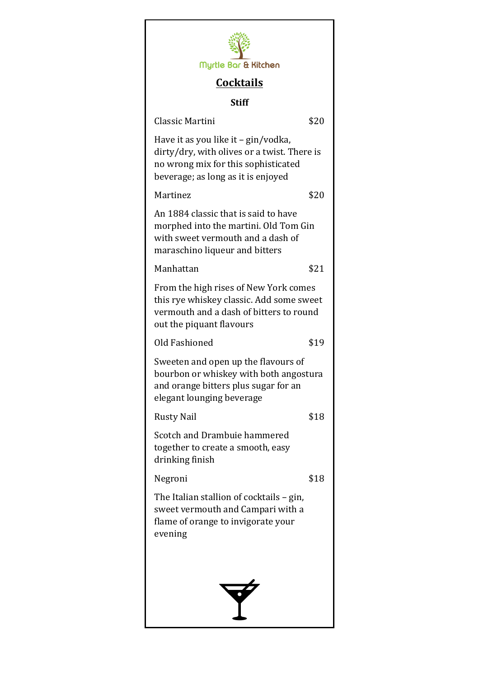| Myrtle Bar & Kitchen                                                                                                                                            |      |
|-----------------------------------------------------------------------------------------------------------------------------------------------------------------|------|
| <b>Cocktails</b>                                                                                                                                                |      |
| <b>Stiff</b>                                                                                                                                                    |      |
| Classic Martini                                                                                                                                                 | \$20 |
| Have it as you like it – gin/vodka,<br>dirty/dry, with olives or a twist. There is<br>no wrong mix for this sophisticated<br>beverage; as long as it is enjoyed |      |
| Martinez                                                                                                                                                        | \$20 |
| An 1884 classic that is said to have<br>morphed into the martini. Old Tom Gin<br>with sweet vermouth and a dash of<br>maraschino liqueur and bitters            |      |
| Manhattan                                                                                                                                                       | \$21 |
| From the high rises of New York comes<br>this rye whiskey classic. Add some sweet<br>vermouth and a dash of bitters to round<br>out the piquant flavours        |      |
| Old Fashioned                                                                                                                                                   | \$19 |
| Sweeten and open up the flavours of<br>bourbon or whiskey with both angostura<br>and orange bitters plus sugar for an<br>elegant lounging beverage              |      |
| <b>Rusty Nail</b>                                                                                                                                               | \$18 |
| Scotch and Drambuie hammered<br>together to create a smooth, easy<br>drinking finish                                                                            |      |
| Negroni                                                                                                                                                         | \$18 |
| The Italian stallion of cocktails - gin,<br>sweet vermouth and Campari with a<br>flame of orange to invigorate your<br>evening                                  |      |
|                                                                                                                                                                 |      |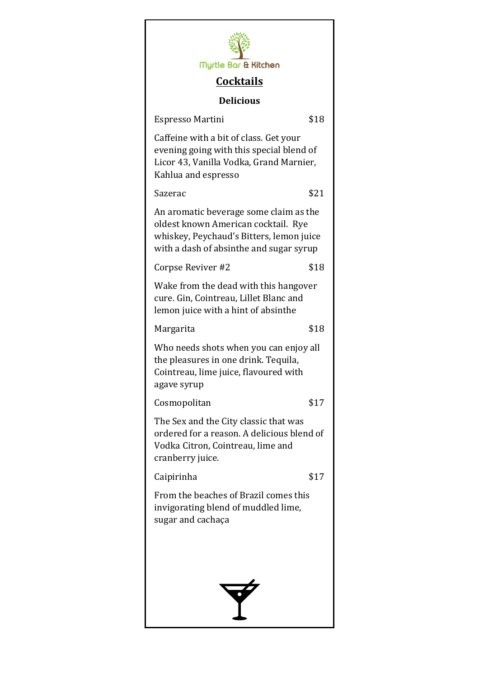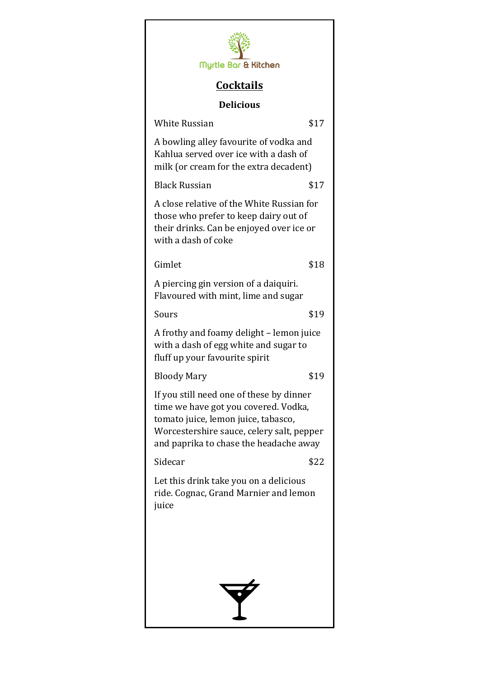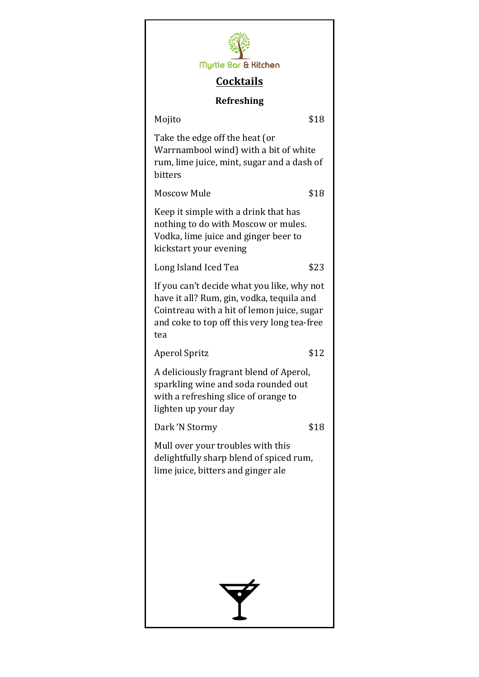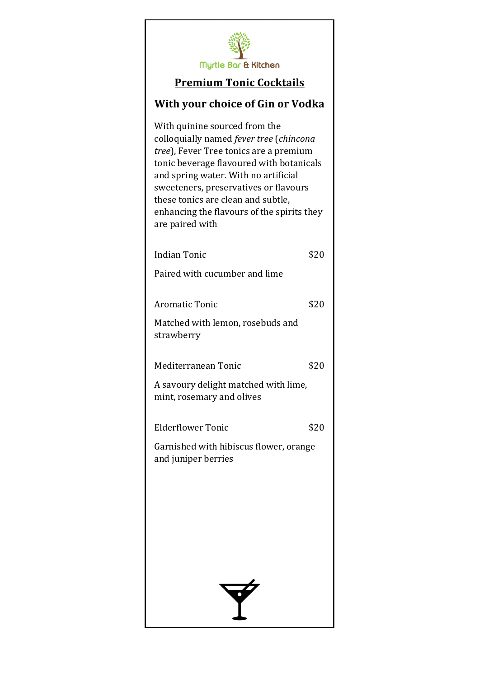

#### **Premium Tonic Cocktails**

### **With your choice of Gin or Vodka**

With quinine sourced from the colloquially named *fever tree* (*chincona tree*), Fever Tree tonics are a premium tonic beverage flavoured with botanicals and spring water. With no artificial sweeteners, preservatives or flavours these tonics are clean and subtle, enhancing the flavours of the spirits they are paired with

Indian Tonic \$20 Paired with cucumber and lime Aromatic Tonic \$20 Matched with lemon, rosebuds and strawberry Mediterranean Tonic \$20 A savoury delight matched with lime, mint, rosemary and olives Elderflower Tonic \$20 Garnished with hibiscus flower, orange and juniper berries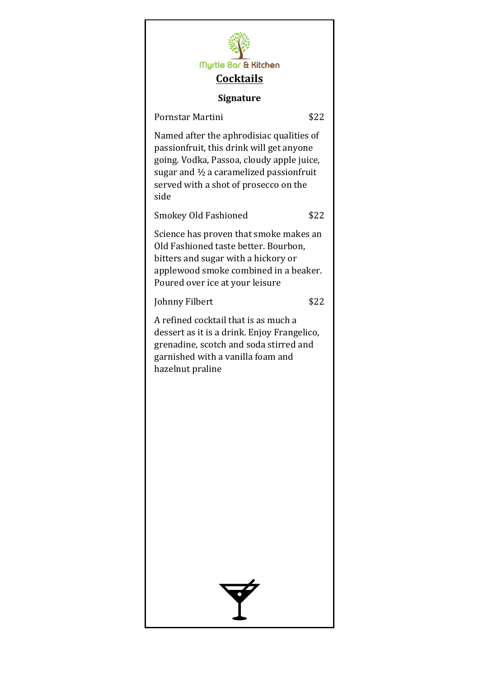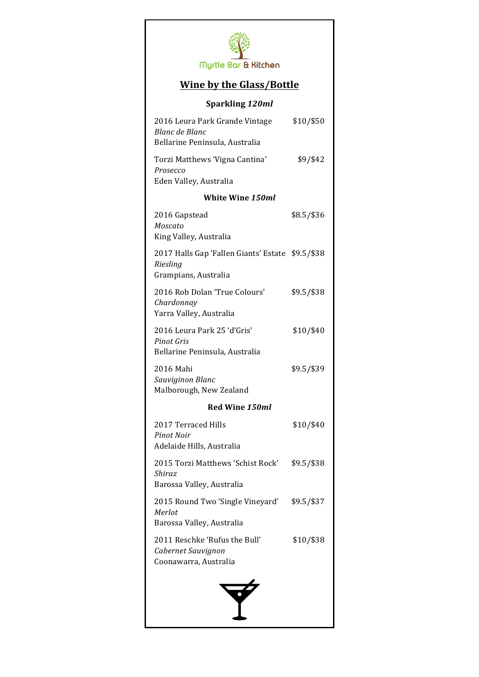

## **Wine by the Glass/Bottle**

### **Sparkling** *120ml*

| 2016 Leura Park Grande Vintage<br>Blanc de Blanc                                     | \$10/\$50  |  |  |
|--------------------------------------------------------------------------------------|------------|--|--|
| Bellarine Peninsula, Australia                                                       |            |  |  |
| Torzi Matthews 'Vigna Cantina'<br>Prosecco<br>Eden Valley, Australia                 | \$9/\$42   |  |  |
| White Wine 150ml                                                                     |            |  |  |
| 2016 Gapstead<br>Moscato<br>King Valley, Australia                                   | \$8.5/\$36 |  |  |
| 2017 Halls Gap 'Fallen Giants' Estate \$9.5/\$38<br>Riesling<br>Grampians, Australia |            |  |  |
| 2016 Rob Dolan 'True Colours'<br>Chardonnay<br>Yarra Valley, Australia               | \$9.5/\$38 |  |  |
| 2016 Leura Park 25 'd'Gris'<br>Pinot Gris<br>Bellarine Peninsula, Australia          | \$10/\$40  |  |  |
| 2016 Mahi<br>Sauviginon Blanc<br>Malborough, New Zealand                             | \$9.5/\$39 |  |  |
| Red Wine 150ml                                                                       |            |  |  |
| 2017 Terraced Hills<br><b>Pinot Noir</b><br>Adelaide Hills, Australia                | \$10/\$40  |  |  |
| 2015 Torzi Matthews 'Schist Rock'<br>Shiraz<br>Barossa Valley, Australia             | \$9.5/\$38 |  |  |
| 2015 Round Two 'Single Vineyard'<br>Merlot<br>Barossa Valley, Australia              | \$9.5/\$37 |  |  |
| 2011 Reschke 'Rufus the Bull'<br>Cabernet Sauvignon<br>Coonawarra, Australia         | \$10/\$38  |  |  |
| Y                                                                                    |            |  |  |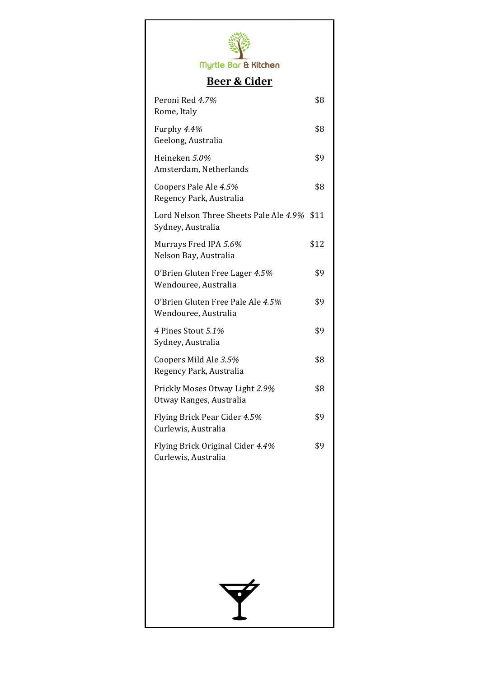

# **Beer & Cider**

| Peroni Red 4.7%<br>Rome, Italy                                   | \$8  |
|------------------------------------------------------------------|------|
| Furphy 4.4%<br>Geelong, Australia                                | \$8  |
| Heineken 5.0%<br>Amsterdam, Netherlands                          | \$9  |
| Coopers Pale Ale 4.5%<br>Regency Park, Australia                 | \$8  |
| Lord Nelson Three Sheets Pale Ale 4.9% \$11<br>Sydney, Australia |      |
| Murrays Fred IPA 5.6%<br>Nelson Bay, Australia                   | \$12 |
| O'Brien Gluten Free Lager 4.5%<br>Wendouree, Australia           | \$9  |
| O'Brien Gluten Free Pale Ale 4.5%<br>Wendouree, Australia        | \$9  |
| 4 Pines Stout 5.1%<br>Sydney, Australia                          | \$9  |
| Coopers Mild Ale 3.5%<br>Regency Park, Australia                 | \$8  |
| Prickly Moses Otway Light 2.9%<br>Otway Ranges, Australia        | \$8  |
| Flying Brick Pear Cider 4.5%<br>Curlewis, Australia              | \$9  |
| Flying Brick Original Cider 4.4%<br>Curlewis, Australia          | \$9  |
|                                                                  |      |
|                                                                  |      |
|                                                                  |      |
|                                                                  |      |
|                                                                  |      |
|                                                                  |      |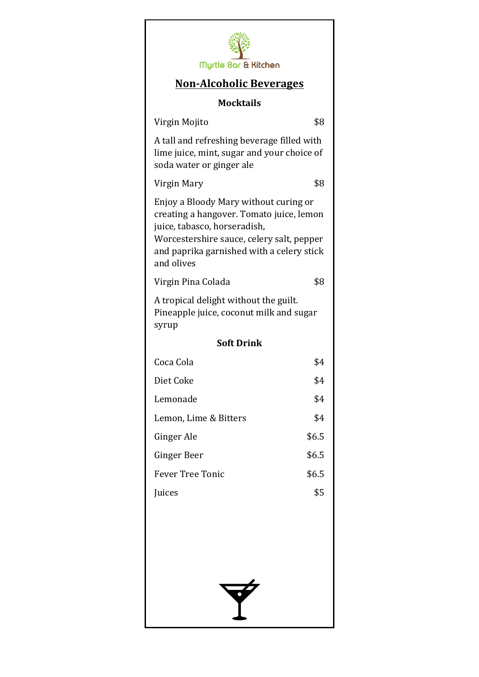